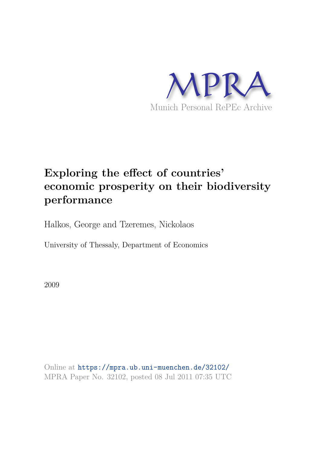

# **Exploring the effect of countries' economic prosperity on their biodiversity performance**

Halkos, George and Tzeremes, Nickolaos

University of Thessaly, Department of Economics

2009

Online at https://mpra.ub.uni-muenchen.de/32102/ MPRA Paper No. 32102, posted 08 Jul 2011 07:35 UTC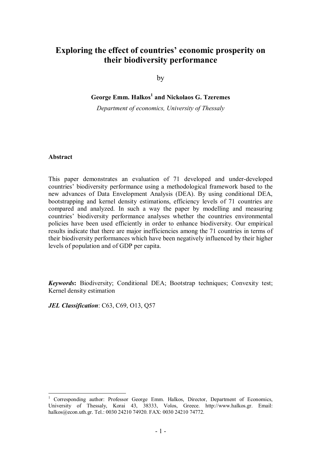# **Exploring the effect of countries' economic prosperity on their biodiversity performance**

by

**George Emm. Halkos<sup>1</sup> and Nickolaos G. Tzeremes**

*Department of economics, University of Thessaly* 

# **Abstract**

 $\overline{a}$ 

This paper demonstrates an evaluation of 71 developed and under-developed countries' biodiversity performance using a methodological framework based to the new advances of Data Envelopment Analysis (DEA). By using conditional DEA, bootstrapping and kernel density estimations, efficiency levels of 71 countries are compared and analyzed. In such a way the paper by modelling and measuring countries' biodiversity performance analyses whether the countries environmental policies have been used efficiently in order to enhance biodiversity. Our empirical results indicate that there are major inefficiencies among the 71 countries in terms of their biodiversity performances which have been negatively influenced by their higher levels of population and of GDP per capita.

*Keywords***:** Biodiversity; Conditional DEA; Bootstrap techniques; Convexity test; Kernel density estimation

*JEL Classification*: C63, C69, O13, Q57

<sup>1</sup> Corresponding author: Professor George Emm. Halkos, Director, Department of Economics, University of Thessaly, Korai 43, 38333, Volos, Greece. http://www.halkos.gr. Email: halkos@econ.uth.gr. Tel.: 0030 24210 74920. FAX: 0030 24210 74772.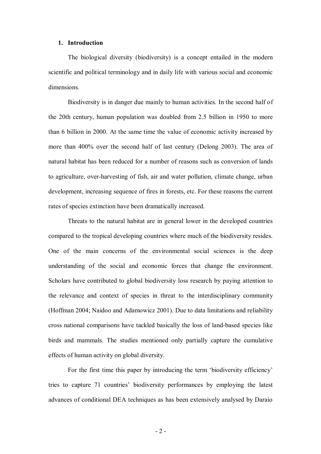### **1. Introduction**

The biological diversity (biodiversity) is a concept entailed in the modern scientific and political terminology and in daily life with various social and economic dimensions.

Biodiversity is in danger due mainly to human activities. In the second half of the 20th century, human population was doubled from 2.5 billion in 1950 to more than 6 billion in 2000. At the same time the value of economic activity increased by more than 400% over the second half of last century (Delong 2003). The area of natural habitat has been reduced for a number of reasons such as conversion of lands to agriculture, over-harvesting of fish, air and water pollution, climate change, urban development, increasing sequence of fires in forests, etc. For these reasons the current rates of species extinction have been dramatically increased.

Threats to the natural habitat are in general lower in the developed countries compared to the tropical developing countries where much of the biodiversity resides. One of the main concerns of the environmental social sciences is the deep understanding of the social and economic forces that change the environment. Scholars have contributed to global biodiversity loss research by paying attention to the relevance and context of species in threat to the interdisciplinary community (Hoffman 2004; Naidoo and Adamowicz 2001). Due to data limitations and reliability cross national comparisons have tackled basically the loss of land-based species like birds and mammals. The studies mentioned only partially capture the cumulative effects of human activity on global diversity.

For the first time this paper by introducing the term 'biodiversity efficiency' tries to capture 71 countries' biodiversity performances by employing the latest advances of conditional DEA techniques as has been extensively analysed by Daraio

- 2 -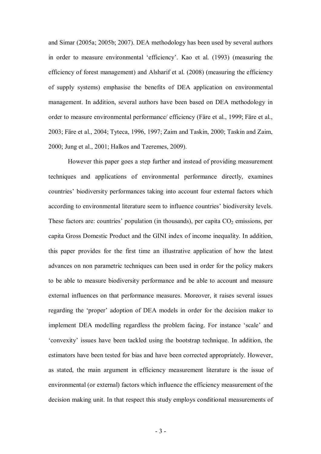and Simar (2005a; 2005b; 2007). DEA methodology has been used by several authors in order to measure environmental 'efficiency'. Kao et al. (1993) (measuring the efficiency of forest management) and Alsharif et al. (2008) (measuring the efficiency of supply systems) emphasise the benefits of DEA application on environmental management. In addition, several authors have been based on DEA methodology in order to measure environmental performance/ efficiency (Färe et al., 1999; Färe et al., 2003; Färe et al., 2004; Tyteca, 1996, 1997; Zaim and Taskin, 2000; Taskin and Zaim, 2000; Jung et al., 2001; Halkos and Tzeremes, 2009).

However this paper goes a step further and instead of providing measurement techniques and applications of environmental performance directly, examines countries' biodiversity performances taking into account four external factors which according to environmental literature seem to influence countries' biodiversity levels. These factors are: countries' population (in thousands), per capita  $CO<sub>2</sub>$  emissions, per capita Gross Domestic Product and the GINI index of income inequality. In addition, this paper provides for the first time an illustrative application of how the latest advances on non parametric techniques can been used in order for the policy makers to be able to measure biodiversity performance and be able to account and measure external influences on that performance measures. Moreover, it raises several issues regarding the 'proper' adoption of DEA models in order for the decision maker to implement DEA modelling regardless the problem facing. For instance 'scale' and 'convexity' issues have been tackled using the bootstrap technique. In addition, the estimators have been tested for bias and have been corrected appropriately. However, as stated, the main argument in efficiency measurement literature is the issue of environmental (or external) factors which influence the efficiency measurement of the decision making unit. In that respect this study employs conditional measurements of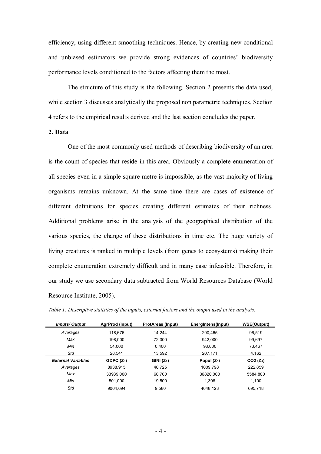efficiency, using different smoothing techniques. Hence, by creating new conditional and unbiased estimators we provide strong evidences of countries' biodiversity performance levels conditioned to the factors affecting them the most.

The structure of this study is the following. Section 2 presents the data used, while section 3 discusses analytically the proposed non parametric techniques. Section 4 refers to the empirical results derived and the last section concludes the paper.

### **2. Data**

One of the most commonly used methods of describing biodiversity of an area is the count of species that reside in this area. Obviously a complete enumeration of all species even in a simple square metre is impossible, as the vast majority of living organisms remains unknown. At the same time there are cases of existence of different definitions for species creating different estimates of their richness. Additional problems arise in the analysis of the geographical distribution of the various species, the change of these distributions in time etc. The huge variety of living creatures is ranked in multiple levels (from genes to ecosystems) making their complete enumeration extremely difficult and in many case infeasible. Therefore, in our study we use secondary data subtracted from World Resources Database (World Resource Institute, 2005).

| <b>Inputs/Output</b>      | AgrProd (Input) | <b>ProtAreas (Input)</b> | Energintens(Input) | <b>WSE(Output)</b> |
|---------------------------|-----------------|--------------------------|--------------------|--------------------|
| Averages                  | 118.676         | 14.244                   | 290.465            | 96.519             |
| Max                       | 198.000         | 72.300                   | 942.000            | 99.697             |
| Min                       | 54.000          | 0.400                    | 98.000             | 73.467             |
| Std                       | 28.541          | 13.592                   | 207,171            | 4,162              |
| <b>External Variables</b> | GDPC $(Z_1)$    | GINI $(Z_2)$             | Popul $(Z_3)$      | $CO2 (Z_4)$        |
| Averages                  | 8938.915        | 40.725                   | 1009.798           | 222.859            |
| Max                       | 33939.000       | 60.700                   | 36820.000          | 5584.800           |
| Min                       | 501.000         | 19.500                   | 1.306              | 1.100              |
| Std                       | 9004.694        | 9.580                    | 4648.123           | 695.718            |

*Table 1: Descriptive statistics of the inputs, external factors and the output used in the analysis*.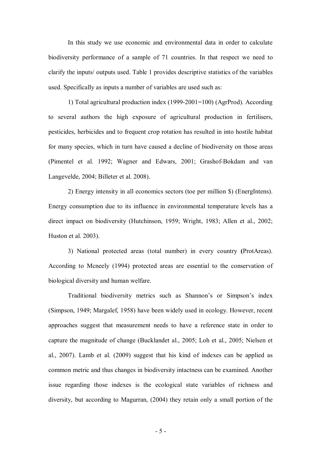In this study we use economic and environmental data in order to calculate biodiversity performance of a sample of 71 countries. In that respect we need to clarify the inputs/ outputs used. Table 1 provides descriptive statistics of the variables used. Specifically as inputs a number of variables are used such as:

1) Total agricultural production index (1999-2001=100) (AgrProd). According to several authors the high exposure of agricultural production in fertilisers, pesticides, herbicides and to frequent crop rotation has resulted in into hostile habitat for many species, which in turn have caused a decline of biodiversity on those areas (Pimentel et al. 1992; Wagner and Edwars, 2001; Grashof-Bokdam and van Langevelde, 2004; Billeter et al. 2008).

2) Energy intensity in all economics sectors (toe per million \$) (EnergIntens). Energy consumption due to its influence in environmental temperature levels has a direct impact on biodiversity (Hutchinson, 1959; Wright, 1983; Allen et al., 2002; Huston et al. 2003).

3) National protected areas (total number) in every country **(**ProtAreas). According to Mcneely (1994) protected areas are essential to the conservation of biological diversity and human welfare.

Traditional biodiversity metrics such as Shannon's or Simpson's index (Simpson, 1949; Margalef, 1958) have been widely used in ecology. However, recent approaches suggest that measurement needs to have a reference state in order to capture the magnitude of change (Bucklandet al., 2005; Loh et al., 2005; Nielsen et al., 2007). Lamb et al. (2009) suggest that his kind of indexes can be applied as common metric and thus changes in biodiversity intactness can be examined. Another issue regarding those indexes is the ecological state variables of richness and diversity, but according to Magurran, (2004) they retain only a small portion of the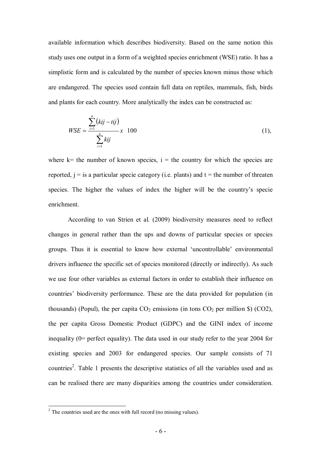available information which describes biodiversity. Based on the same notion this study uses one output in a form of a weighted species enrichment (WSE) ratio. It has a simplistic form and is calculated by the number of species known minus those which are endangered. The species used contain full data on reptiles, mammals, fish, birds and plants for each country. More analytically the index can be constructed as:

$$
WSE = \frac{\sum_{i=1}^{n} (kij - tij)}{\sum_{i=1}^{n} kij} x \quad 100
$$
 (1),

where  $k=$  the number of known species,  $i=$  the country for which the species are reported,  $j =$  is a particular specie category (i.e. plants) and  $t =$  the number of threaten species. The higher the values of index the higher will be the country's specie enrichment.

According to van Strien et al. (2009) biodiversity measures need to reflect changes in general rather than the ups and downs of particular species or species groups. Thus it is essential to know how external 'uncontrollable' environmental drivers influence the specific set of species monitored (directly or indirectly). As such we use four other variables as external factors in order to establish their influence on countries' biodiversity performance. These are the data provided for population (in thousands) (Popul), the per capita  $CO_2$  emissions (in tons  $CO_2$  per million \$) (CO2), the per capita Gross Domestic Product (GDPC) and the GINI index of income inequality (0= perfect equality). The data used in our study refer to the year 2004 for existing species and 2003 for endangered species. Our sample consists of 71 countries<sup>2</sup>. Table 1 presents the descriptive statistics of all the variables used and as can be realised there are many disparities among the countries under consideration.

<sup>&</sup>lt;sup>2</sup> The countries used are the ones with full record (no missing values).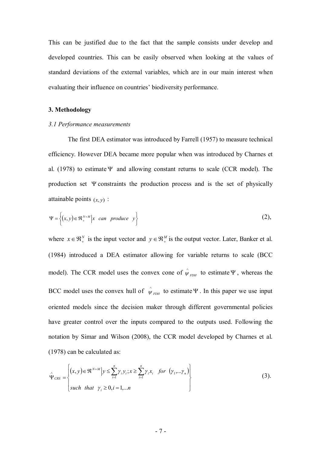This can be justified due to the fact that the sample consists under develop and developed countries. This can be easily observed when looking at the values of standard deviations of the external variables, which are in our main interest when evaluating their influence on countries' biodiversity performance.

# **3. Methodology**

#### *3.1 Performance measurements*

The first DEA estimator was introduced by Farrell (1957) to measure technical efficiency. However DEA became more popular when was introduced by Charnes et al. (1978) to estimate  $\Psi$  and allowing constant returns to scale (CCR model). The production set  $\Psi$  constraints the production process and is the set of physically attainable points  $(x, y)$ :

$$
\Psi = \left\{ (x, y) \in \mathfrak{R}_{+}^{N+M} \middle| x \quad can \quad produce \quad y \right\}
$$
 (2),

where  $x \in \mathbb{R}^N_+$  is the input vector and  $y \in \mathbb{R}^M_+$  is the output vector. Later, Banker et al. (1984) introduced a DEA estimator allowing for variable returns to scale (BCC model). The CCR model uses the convex cone of  $\hat{\psi}_{FDH}$  to estimate  $\Psi$ , whereas the BCC model uses the convex hull of  $\hat{\psi}_{FDH}$  to estimate  $\Psi$ . In this paper we use input oriented models since the decision maker through different governmental policies have greater control over the inputs compared to the outputs used. Following the notation by Simar and Wilson (2008), the CCR model developed by Charnes et al. (1978) can be calculated as:

$$
\hat{\Psi}_{CRS} = \begin{cases} (x, y) \in \Re^{N+M} \Big| y \leq \sum_{i=1}^{n} \gamma_i y_i; x \geq \sum_{i=1}^{n} \gamma_i x_i \quad \text{for } \left( \gamma_1, \dots, \gamma_n \right) \\ \text{such that } \gamma_i \geq 0, i = 1, \dots n \end{cases}
$$
\n
$$
(3).
$$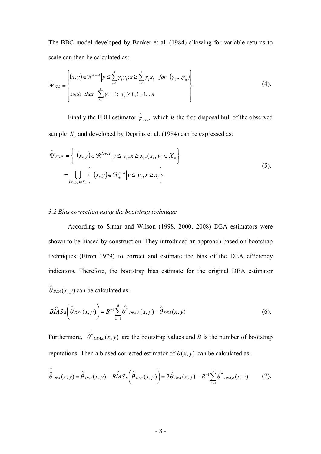The BBC model developed by Banker et al. (1984) allowing for variable returns to scale can then be calculated as:

$$
\hat{\Psi}_{VRS} = \begin{cases}\n(x, y) \in \Re^{N+M} \left| y \le \sum_{i=1}^{n} \gamma_i y_i; x \ge \sum_{i=1}^{n} \gamma_i x_i \quad \text{for } \left( \gamma_1, \dots, \gamma_n \right) \\
\text{such that } \sum_{i=1}^{n} \gamma_i = 1; \ \gamma_i \ge 0, i = 1, \dots n\n\end{cases}
$$
\n(4).

Finally the FDH estimator  $\hat{\psi}_{FDH}$  which is the free disposal hull of the observed sample  $X_n$  and developed by Deprins et al. (1984) can be expressed as:

$$
\hat{\Psi}_{FDH} = \left\{ (x, y) \in \mathfrak{R}^{N+M} \middle| y \leq y_i, x \geq x_i, (x_i, y_i \in X_n) \right\}
$$
\n
$$
= \bigcup_{(x_i, y_i) \in X_n} \left\{ (x, y) \in \mathfrak{R}_+^{p+q} \middle| y \leq y_i, x \geq x_i \right\}
$$
\n
$$
(5).
$$

# *3.2 Bias correction using the bootstrap technique*

 According to Simar and Wilson (1998, 2000, 2008) DEA estimators were shown to be biased by construction. They introduced an approach based on bootstrap techniques (Efron 1979) to correct and estimate the bias of the DEA efficiency indicators. Therefore, the bootstrap bias estimate for the original DEA estimator  $\hat{\theta}_{DEA}(x, y)$  can be calculated as:

$$
\hat{BIAS}_B\left(\hat{\theta}_{DEA}(x,y)\right)=B^{-1}\sum_{b=1}^B\hat{\theta^*}_{DEA,b}(x,y)-\hat{\theta}_{DEA}(x,y) \qquad (6).
$$

Furthermore,  $\theta^*_{DEA,b}(x, y)$  $\wedge$  $\theta^*_{DEA,b}(x, y)$  are the bootstrap values and *B* is the number of bootstrap reputations. Then a biased corrected estimator of  $\theta(x, y)$  can be calculated as:

$$
\hat{\hat{\theta}}_{DEA}(x,y) = \hat{\theta}_{DEA}(x,y) - B\hat{I}AS_B\left(\hat{\theta}_{DEA}(x,y)\right) = 2\hat{\theta}_{DEA}(x,y) - B^{-1}\sum_{b=1}^B \hat{\theta}^*_{DEA,b}(x,y) \qquad (7).
$$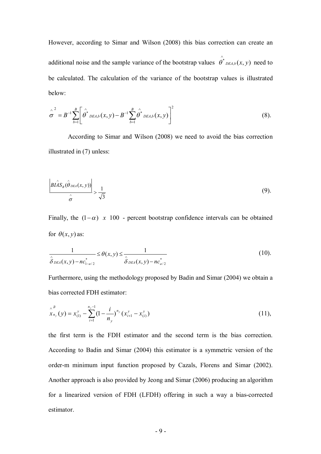However, according to Simar and Wilson (2008) this bias correction can create an additional noise and the sample variance of the bootstrap values  $\theta^*_{DEA,b}(x, y)$  $\wedge$  $\theta^*$ <sub>DEA,b</sub> $(x, y)$  need to be calculated. The calculation of the variance of the bootstrap values is illustrated below:

$$
\hat{\sigma}^{2} = B^{-1} \sum_{b=1}^{B} \left[ \hat{\theta}^{*}{}_{DEA,b}(x, y) - B^{-1} \sum_{b=1}^{B} \hat{\theta}^{*}{}_{DEA,b}(x, y) \right]^{2}
$$
(8).

According to Simar and Wilson (2008) we need to avoid the bias correction illustrated in (7) unless:

$$
\left| \frac{B\hat{LAS}_B(\hat{\theta}_{DEA}(x, y))}{\hat{\sigma}} \right| > \frac{1}{\sqrt{3}} \tag{9}.
$$

Finally, the  $(1-\alpha)$  x 100 - percent bootstrap confidence intervals can be obtained for  $\theta(x, y)$  as:

$$
\frac{1}{\hat{\delta}_{DEA}(x,y) - nc_{1-a/2}^*} \le \theta(x,y) \le \frac{1}{\hat{\delta}_{DEA}(x,y) - nc_{a/2}^*}
$$
(10).

Furthermore, using the methodology proposed by Badin and Simar (2004) we obtain a bias corrected FDH estimator:

$$
\chi_{n_{y}}^{\lambda} (y) = x_{(1)}^{y} - \sum_{i=1}^{n_{y}-1} (1 - \frac{i}{n_{y}})^{n_{y}} (x_{i+1}^{y} - x_{(i)}^{y})
$$
\n(11),

the first term is the FDH estimator and the second term is the bias correction. According to Badin and Simar (2004) this estimator is a symmetric version of the order-m minimum input function proposed by Cazals, Florens and Simar (2002). Another approach is also provided by Jeong and Simar (2006) producing an algorithm for a linearized version of FDH (LFDH) offering in such a way a bias-corrected estimator.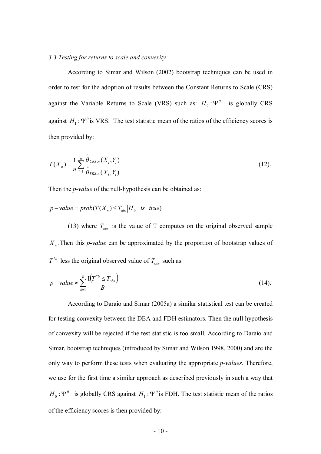# *3.3 Testing for returns to scale and convexity*

According to Simar and Wilson (2002) bootstrap techniques can be used in order to test for the adoption of results between the Constant Returns to Scale (CRS) against the Variable Returns to Scale (VRS) such as:  $H_0: \Psi^\theta$  is globally CRS against  $H_1$ :  $\Psi^{\theta}$  is VRS. The test statistic mean of the ratios of the efficiency scores is then provided by:

$$
T(X_n) = \frac{1}{n} \sum_{i=1}^n \frac{\hat{\theta}_{CRS,n}(X_i, Y_i)}{\hat{\theta}_{FRS,n}(X_i, Y_i)}
$$
(12).

Then the *p-value* of the null-hypothesis can be obtained as:

$$
p
$$
-value =  $prob(T(X_n) \leq T_{obs} | H_0$  is true)

(13) where  $T_{obs}$  is the value of T computes on the original observed sample *Xn* .Then this *p-value* can be approximated by the proportion of bootstrap values of  $T^{*b}$  less the original observed value of  $T_{obs}$  such as:

$$
p-value \approx \sum_{b=1}^{B} \frac{I(T^{*b} \le T_{obs})}{B} \tag{14}
$$

According to Daraio and Simar (2005a) a similar statistical test can be created for testing convexity between the DEA and FDH estimators. Then the null hypothesis of convexity will be rejected if the test statistic is too small. According to Daraio and Simar, bootstrap techniques (introduced by Simar and Wilson 1998, 2000) and are the only way to perform these tests when evaluating the appropriate *p-values*. Therefore, we use for the first time a similar approach as described previously in such a way that  $H_0$ :  $\Psi^{\theta}$  is globally CRS against  $H_1$ :  $\Psi^{\theta}$  is FDH. The test statistic mean of the ratios of the efficiency scores is then provided by: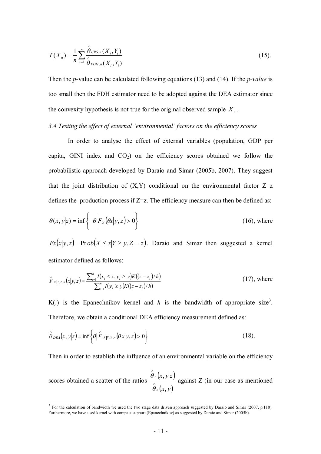$$
T(X_n) = \frac{1}{n} \sum_{i=1}^n \frac{\hat{\theta}_{CRS,n}(X_i, Y_i)}{\hat{\theta}_{FDH,n}(X_i, Y_i)}
$$
(15).

Then the *p*-value can be calculated following equations (13) and (14). If the *p-value* is too small then the FDH estimator need to be adopted against the DEA estimator since the convexity hypothesis is not true for the original observed sample  $X<sub>n</sub>$ .

## *3.4 Testing the effect of external 'environmental' factors on the efficiency scores*

In order to analyse the effect of external variables (population, GDP per capita, GINI index and  $CO<sub>2</sub>$ ) on the efficiency scores obtained we follow the probabilistic approach developed by Daraio and Simar (2005b, 2007). They suggest that the joint distribution of  $(X, Y)$  conditional on the environmental factor  $Z=z$ defines the production process if  $Z=z$ . The efficiency measure can then be defined as:

$$
\theta(x, y|z) = \inf \left\{ \theta \middle| F_x(\theta x | y, z) > 0 \right\} \tag{16}, \text{where}
$$

 $Fx(x|y, z) = Pr \,ob(X \le x|Y \ge y, Z = z)$ . Daraio and Simar then suggested a kernel estimator defined as follows:

$$
\hat{F}_{X|Y,Z,n}(x|y,z) = \frac{\sum_{i=1}^{n} I(x_i \le x, y_i \ge y) K((z-z_i)/h)}{\sum_{i=1}^{n} I(y_i \ge y) K((z-z_i)/h)}
$$
(17), where

K(.) is the Epanechnikov kernel and  $h$  is the bandwidth of appropriate size<sup>3</sup>. Therefore, we obtain a conditional DEA efficiency measurement defined as:

$$
\hat{\theta}_{DEA}(x, y|z) = \inf \left\{ \theta | \hat{F}_{X|Y,Z,n}(\theta x|y,z) > 0 \right\} \tag{18}.
$$

Then in order to establish the influence of an environmental variable on the efficiency

scores obtained a scatter of the ratios  $(x, y|z)$  $(x, y)$  $x, y|z$ *n n* , ,  $\wedge$  $\wedge$  $\theta$  $\theta$ against Z (in our case as mentioned

<sup>&</sup>lt;sup>3</sup> For the calculation of bandwidth we used the two stage data driven approach suggested by Daraio and Simar (2007, p.110). Furthermore, we have used kernel with compact support (Epanechnikov) as suggested by Daraio and Simar (2005b).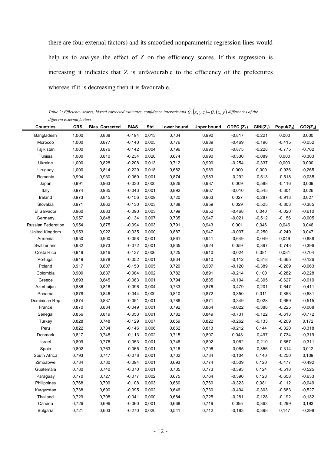there are four external factors) and its smoothed nonparametric regression lines would help us to analyse the effect of Z on the efficiency scores. If this regression is increasing it indicates that Z is unfavourable to the efficiency of the prefectures whereas if it is decreasing then it is favourable.

Table 2: Efficiency scores, biased corrected estimates, confidence intervals and  $\hat{\theta}_n(x,y|z)-\hat{\theta}_n(x,y)$  differences of the *different external factors*.

| <b>Countries</b>          | <b>CRS</b> | <b>Bias Corrected</b> | <b>BIAS</b> | Std   | Lower bound | <b>Upper bound</b> | GDPC $(Z_1)$ | $GINI(Z_2)$ | Popul $(Z_3)$ | $CO2(Z_4)$ |
|---------------------------|------------|-----------------------|-------------|-------|-------------|--------------------|--------------|-------------|---------------|------------|
| Bangladesh                | 1,000      | 0,838                 | $-0,194$    | 0,013 | 0,704       | 0,990              | $-0,817$     | $-0,221$    | 0,000         | 0,000      |
| Morocco                   | 1,000      | 0,877                 | $-0,140$    | 0,005 | 0,776       | 0,989              | $-0,469$     | $-0,196$    | $-0,415$      | $-0,052$   |
| Tajikistan                | 1,000      | 0,876                 | $-0,142$    | 0,004 | 0,796       | 0,990              | $-0,875$     | $-0,228$    | $-0,775$      | $-0,702$   |
| Tunisia                   | 1,000      | 0,810                 | $-0,234$    | 0,020 | 0,674       | 0,990              | $-0,330$     | $-0,089$    | 0,000         | $-0,303$   |
| Ukraine                   | 1,000      | 0,828                 | $-0,208$    | 0,013 | 0,712       | 0,990              | $-0,254$     | $-0,337$    | 0,000         | 0,000      |
| Uruguay                   | 1,000      | 0,814                 | $-0,229$    | 0,018 | 0,682       | 0,989              | 0,000        | 0,000       | $-0,936$      | $-0,265$   |
| Romania                   | 0,994      | 0,930                 | $-0,069$    | 0,001 | 0,874       | 0,983              | $-0,292$     | $-0,513$    | $-0,518$      | $-0,035$   |
| Japan                     | 0,991      | 0,963                 | $-0,030$    | 0,000 | 0,926       | 0,987              | 0,009        | $-0,588$    | $-0,116$      | 0,009      |
| Italy                     | 0,974      | 0,935                 | $-0,043$    | 0,001 | 0,892       | 0,967              | $-0,010$     | $-0,545$    | $-0,301$      | 0,026      |
| Ireland                   | 0,973      | 0,845                 | $-0,156$    | 0,009 | 0,720       | 0,963              | 0,027        | $-0,287$    | $-0,913$      | 0,027      |
| Slovakia                  | 0,971      | 0,862                 | $-0,130$    | 0,003 | 0,788       | 0,959              | 0,029        | $-0,525$    | $-0,803$      | $-0,385$   |
| El Salvador               | 0,960      | 0,883                 | $-0,090$    | 0,003 | 0,799       | 0,952              | $-0,468$     | 0,040       | $-0,020$      | $-0,610$   |
| Germany                   | 0,957      | 0,848                 | $-0,134$    | 0,007 | 0,735       | 0,947              | $-0,021$     | $-0,512$    | $-0,156$      | $-0,005$   |
| <b>Russian Federation</b> | 0,954      | 0,875                 | $-0,094$    | 0,003 | 0,791       | 0,943              | 0,001        | 0,046       | 0,046         | 0,046      |
| United Kingdom            | 0,953      | 0,922                 | $-0,035$    | 0,000 | 0,887       | 0,947              | $-0,037$     | $-0,250$    | $-0,249$      | 0,047      |
| Armenia                   | 0,950      | 0,900                 | $-0,058$    | 0,001 | 0,861       | 0,941              | $-0,649$     | $-0,049$    | 0,049         | $-0,888$   |
| Switzerland               | 0,932      | 0,873                 | $-0,072$    | 0,001 | 0,835       | 0,924              | 0,059        | $-0,397$    | $-0,743$      | $-0,396$   |
| Costa Rica                | 0,919      | 0,816                 | $-0,137$    | 0,006 | 0,725       | 0,910              | $-0,024$     | 0,081       | 0,081         | $-0,704$   |
| Portugal                  | 0,919      | 0,878                 | $-0,052$    | 0,001 | 0,834       | 0,910              | $-0,112$     | $-0,318$    | $-0,665$      | $-0,126$   |
| Poland                    | 0,917      | 0,807                 | $-0,150$    | 0,005 | 0,720       | 0,907              | $-0,120$     | $-0,389$    | $-0,269$      | $-0,063$   |
| Colombia                  | 0,900      | 0,837                 | $-0,084$    | 0,002 | 0,782       | 0,891              | $-0,214$     | 0,100       | $-0,282$      | $-0,228$   |
| Greece                    | 0,893      | 0,845                 | $-0,063$    | 0,001 | 0,794       | 0,885              | $-0,104$     | $-0,395$    | $-0,627$      | $-0,019$   |
| Azerbaijan                | 0,886      | 0,816                 | $-0,096$    | 0,004 | 0,733       | 0,876              | $-0,479$     | $-0,201$    | $-0,647$      | $-0,411$   |
| Panama                    | 0,878      | 0,846                 | $-0,044$    | 0,000 | 0,810       | 0,872              | $-0,350$     | 0,011       | $-0,853$      | $-0,681$   |
| Dominican Rep             | 0,874      | 0,837                 | $-0,051$    | 0,001 | 0,786       | 0,871              | $-0,349$     | $-0,028$    | $-0,669$      | $-0,515$   |
| France                    | 0,870      | 0,834                 | $-0.049$    | 0,001 | 0,792       | 0,864              | $-0,022$     | $-0,388$    | $-0,225$      | $-0,008$   |
| Senegal                   | 0,856      | 0,819                 | $-0.053$    | 0,001 | 0,782       | 0,849              | $-0,731$     | $-0,122$    | $-0,613$      | $-0,772$   |
| Turkey                    | 0,828      | 0,748                 | $-0,129$    | 0,007 | 0,659       | 0,822              | $-0,262$     | $-0,133$    | $-0,209$      | 0,172      |
| Peru                      | 0,822      | 0,734                 | $-0,146$    | 0,006 | 0,662       | 0,813              | $-0,212$     | 0,144       | $-0,320$      | $-0,318$   |
| Denmark                   | 0,817      | 0,748                 | $-0,113$    | 0,002 | 0,715       | 0,807              | 0,043        | $-0,497$    | $-0,734$      | $-0,319$   |
| Israel                    | 0,809      | 0,776                 | $-0,053$    | 0,001 | 0,746       | 0,802              | $-0,062$     | $-0,210$    | $-0,667$      | $-0,311$   |
| Spain                     | 0,802      | 0,763                 | $-0,065$    | 0,001 | 0,716       | 0,796              | $-0,065$     | $-0,356$    | $-0,314$      | 0,012      |
| South Africa              | 0,793      | 0,747                 | $-0,078$    | 0,001 | 0,702       | 0,784              | $-0,104$     | 0,140       | $-0,250$      | 0,109      |
| Zimbabwe                  | 0,784      | 0,730                 | $-0,094$    | 0,001 | 0,693       | 0,774              | $-0,509$     | 0,120       | $-0,477$      | $-0,492$   |
| Guatemala                 | 0,780      | 0,740                 | $-0,070$    | 0,001 | 0,705       | 0,773              | $-0,393$     | 0,124       | $-0,518$      | $-0,525$   |
| Paraguay                  | 0,770      | 0,727                 | $-0,077$    | 0,002 | 0,675       | 0,764              | $-0,390$     | 0,128       | $-0,658$      | $-0,633$   |
| Philippines               | 0,768      | 0,709                 | $-0,108$    | 0,003 | 0,660       | 0,760              | $-0,323$     | 0,081       | $-0,112$      | $-0,049$   |
| Kyrgyzstan                | 0,738      | 0,690                 | $-0,095$    | 0,002 | 0,646       | 0,730              | $-0,494$     | $-0,303$    | $-0,683$      | $-0,527$   |
| Thailand                  | 0,729      | 0,708                 | $-0,041$    | 0,000 | 0,684       | 0,725              | $-0,281$     | $-0,128$    | $-0,192$      | $-0,132$   |
| Canada                    | 0,726      | 0,696                 | $-0,060$    | 0,001 | 0,668       | 0,719              | 0,095        | $-0,363$    | $-0,299$      | 0,193      |
| <b>Bulgaria</b>           | 0,721      | 0,603                 | $-0,270$    | 0,020 | 0,541       | 0,712              | $-0,183$     | $-0,398$    | 0,147         | $-0,298$   |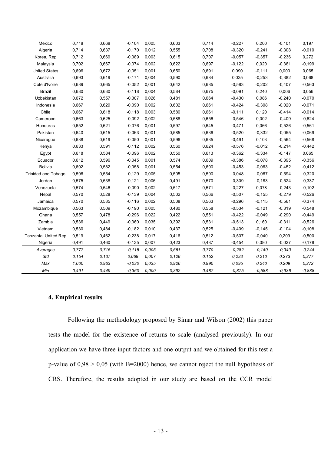| Mexico               | 0,718 | 0,668 | $-0,104$  | 0,005 | 0,603 | 0,714 | $-0,227$ | 0,200    | $-0,101$ | 0,197    |
|----------------------|-------|-------|-----------|-------|-------|-------|----------|----------|----------|----------|
| Algeria              | 0,714 | 0,637 | $-0,170$  | 0,012 | 0,555 | 0,708 | $-0,320$ | $-0,241$ | $-0,308$ | $-0.010$ |
| Korea, Rep           | 0,712 | 0,669 | $-0.089$  | 0,003 | 0,615 | 0,707 | $-0,057$ | $-0,357$ | $-0,236$ | 0,272    |
| Malaysia             | 0,702 | 0,667 | $-0.074$  | 0,002 | 0,622 | 0,697 | $-0,122$ | 0,020    | $-0,361$ | $-0,199$ |
| <b>United States</b> | 0,696 | 0,672 | $-0,051$  | 0,001 | 0,650 | 0,691 | 0,090    | $-0,111$ | 0,000    | 0,065    |
| Australia            | 0,693 | 0,619 | $-0,171$  | 0,004 | 0,590 | 0,684 | 0,035    | $-0,253$ | $-0,382$ | 0,068    |
| Cote d'Ivoire        | 0,689 | 0,665 | $-0.052$  | 0,001 | 0,642 | 0,685 | $-0,583$ | $-0,202$ | $-0,407$ | $-0,563$ |
| <b>Brazil</b>        | 0,680 | 0,630 | $-0,118$  | 0,004 | 0,584 | 0,675 | $-0,091$ | 0,240    | 0,006    | 0,056    |
| Uzbekistan           | 0,672 | 0,557 | $-0,307$  | 0,026 | 0,481 | 0,664 | $-0,430$ | 0,086    | $-0,240$ | $-0,070$ |
| Indonesia            | 0,667 | 0,629 | $-0,090$  | 0,002 | 0,602 | 0,661 | $-0,424$ | $-0,308$ | $-0,020$ | $-0,071$ |
| Chile                | 0,667 | 0,618 | $-0,118$  | 0,003 | 0,580 | 0,661 | $-0,111$ | 0,120    | $-0,414$ | $-0,014$ |
| Cameroon             | 0,663 | 0,625 | $-0,092$  | 0,002 | 0,588 | 0,656 | $-0,546$ | 0,002    | $-0,409$ | $-0,624$ |
| Honduras             | 0,652 | 0,621 | $-0,076$  | 0,001 | 0,597 | 0,645 | $-0,471$ | 0,066    | $-0,526$ | $-0,561$ |
| Pakistan             | 0,640 | 0,615 | $-0,063$  | 0,001 | 0,585 | 0,636 | $-0,520$ | $-0,332$ | $-0,055$ | $-0,069$ |
| Nicaragua            | 0,638 | 0,619 | $-0,050$  | 0,001 | 0,596 | 0,635 | $-0,491$ | 0,103    | $-0,564$ | $-0,568$ |
| Kenya                | 0,633 | 0,591 | $-0,112$  | 0,002 | 0,560 | 0,624 | $-0,576$ | $-0,012$ | $-0,214$ | $-0,442$ |
| Egypt                | 0,618 | 0,584 | $-0,096$  | 0,002 | 0,550 | 0,613 | $-0,362$ | $-0,334$ | $-0,147$ | 0,065    |
| Ecuador              | 0,612 | 0,596 | $-0,045$  | 0,001 | 0,574 | 0,609 | $-0,386$ | $-0,078$ | $-0,395$ | $-0,356$ |
| <b>Bolivia</b>       | 0,602 | 0,582 | $-0,058$  | 0,001 | 0,554 | 0,600 | $-0,453$ | $-0,063$ | $-0,452$ | $-0,412$ |
| Trinidad and Tobago  | 0,596 | 0,554 | $-0,129$  | 0,005 | 0,505 | 0,590 | $-0,048$ | $-0,067$ | $-0,594$ | $-0,320$ |
| Jordan               | 0,575 | 0,538 | $-0,121$  | 0,006 | 0,491 | 0,570 | $-0,309$ | $-0,183$ | $-0,524$ | $-0,337$ |
| Venezuela            | 0,574 | 0,546 | $-0.090$  | 0,002 | 0,517 | 0,571 | $-0,227$ | 0,078    | $-0,243$ | $-0,102$ |
| Nepal                | 0,570 | 0,528 | $-0,139$  | 0,004 | 0,502 | 0,566 | $-0,507$ | $-0,155$ | $-0,279$ | $-0,526$ |
| Jamaica              | 0,570 | 0,535 | $-0,116$  | 0,002 | 0,508 | 0,563 | $-0,296$ | $-0,115$ | $-0,561$ | $-0,374$ |
| Mozambique           | 0,563 | 0,509 | $-0,190$  | 0,005 | 0,480 | 0,558 | $-0,534$ | $-0,121$ | $-0,319$ | $-0,548$ |
| Ghana                | 0,557 | 0,478 | $-0,296$  | 0,022 | 0,422 | 0,551 | $-0,422$ | $-0,049$ | $-0,290$ | $-0,449$ |
| Zambia               | 0,536 | 0,449 | $-0,360$  | 0,035 | 0,392 | 0,531 | $-0,513$ | 0,160    | $-0,311$ | $-0,526$ |
| Vietnam              | 0,530 | 0,484 | $-0,182$  | 0,010 | 0,437 | 0,525 | $-0,409$ | $-0,145$ | $-0,104$ | $-0,108$ |
| Tanzania, United Rep | 0,519 | 0,462 | $-0,238$  | 0,017 | 0,416 | 0,512 | $-0,507$ | $-0,040$ | 0,209    | $-0,500$ |
| Nigeria              | 0,491 | 0,460 | $-0,135$  | 0,007 | 0,423 | 0,487 | $-0,454$ | 0,080    | $-0,027$ | $-0,178$ |
| Averages             | 0,777 | 0,715 | $-0, 115$ | 0.005 | 0.661 | 0,770 | $-0,282$ | $-0,140$ | $-0,340$ | $-0,244$ |
| Std                  | 0,154 | 0,137 | 0.069     | 0,007 | 0,128 | 0,152 | 0,233    | 0,210    | 0,273    | 0,277    |
| Max                  | 1,000 | 0,963 | $-0.030$  | 0.035 | 0,926 | 0,990 | 0.095    | 0,240    | 0,209    | 0,272    |
| Min                  | 0.491 | 0.449 | $-0.360$  | 0.000 | 0.392 | 0,487 | $-0.875$ | $-0.588$ | -0.936   | $-0,888$ |

# **4. Empirical results**

Following the methodology proposed by Simar and Wilson (2002) this paper tests the model for the existence of returns to scale (analysed previously). In our application we have three input factors and one output and we obtained for this test a p-value of  $0.98 > 0.05$  (with B=2000) hence, we cannot reject the null hypothesis of CRS. Therefore, the results adopted in our study are based on the CCR model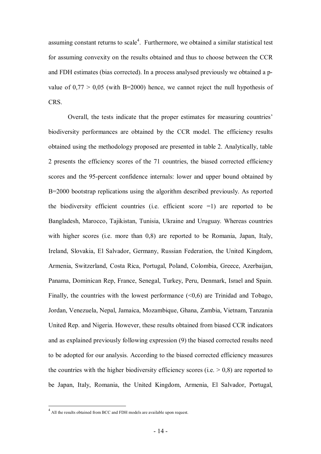assuming constant returns to scale<sup>4</sup>. Furthermore, we obtained a similar statistical test for assuming convexity on the results obtained and thus to choose between the CCR and FDH estimates (bias corrected). In a process analysed previously we obtained a pvalue of  $0.77 > 0.05$  (with B=2000) hence, we cannot reject the null hypothesis of CRS.

Overall, the tests indicate that the proper estimates for measuring countries' biodiversity performances are obtained by the CCR model. The efficiency results obtained using the methodology proposed are presented in table 2. Analytically, table 2 presents the efficiency scores of the 71 countries, the biased corrected efficiency scores and the 95-percent confidence internals: lower and upper bound obtained by B=2000 bootstrap replications using the algorithm described previously. As reported the biodiversity efficient countries (i.e. efficient score  $=1$ ) are reported to be Bangladesh, Marocco, Tajikistan, Tunisia, Ukraine and Uruguay. Whereas countries with higher scores (i.e. more than 0,8) are reported to be Romania, Japan, Italy, Ireland, Slovakia, El Salvador, Germany, Russian Federation, the United Kingdom, Armenia, Switzerland, Costa Rica, Portugal, Poland, Colombia, Greece, Azerbaijan, Panama, Dominican Rep, France, Senegal, Turkey, Peru, Denmark, Israel and Spain. Finally, the countries with the lowest performance  $( $0.6$ ) are Trinidad and Tobago,$ Jordan, Venezuela, Nepal, Jamaica, Mozambique, Ghana, Zambia, Vietnam, Tanzania United Rep. and Nigeria. However, these results obtained from biased CCR indicators and as explained previously following expression (9) the biased corrected results need to be adopted for our analysis. According to the biased corrected efficiency measures the countries with the higher biodiversity efficiency scores (i.e.  $> 0.8$ ) are reported to be Japan, Italy, Romania, the United Kingdom, Armenia, El Salvador, Portugal,

 $\overline{a}$ 

<sup>&</sup>lt;sup>4</sup> All the results obtained from BCC and FDH models are available upon request.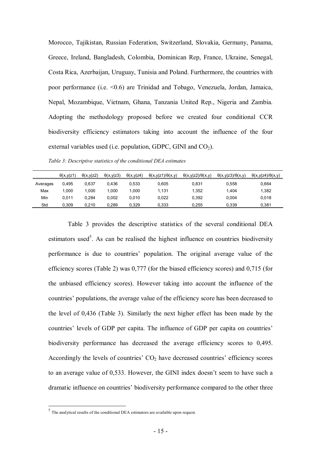Morocco, Tajikistan, Russian Federation, Switzerland, Slovakia, Germany, Panama, Greece, Ireland, Bangladesh, Colombia, Dominican Rep, France, Ukraine, Senegal, Costa Rica, Azerbaijan, Uruguay, Tunisia and Poland. Furthermore, the countries with poor performance (i.e. <0.6) are Trinidad and Tobago, Venezuela, Jordan, Jamaica, Nepal, Mozambique, Vietnam, Ghana, Tanzania United Rep., Nigeria and Zambia. Adopting the methodology proposed before we created four conditional CCR biodiversity efficiency estimators taking into account the influence of the four external variables used (i.e. population, GDPC, GINI and  $CO<sub>2</sub>$ ).

*Table 3: Descriptive statistics of the conditional DEA estimates* 

|          | $\theta(x,y z1)$ | $\theta(x,y z2)$ | $\theta(x,y z3)$ | $\theta(x,y z4)$ | $\theta(x,y z1)/\theta(x,y)$ | $\theta(x,y z2)/\theta(x,y)$ | $\theta(x,y z3)/\theta(x,y)$ | $\theta(x,y z4)/\theta(x,y)$ |
|----------|------------------|------------------|------------------|------------------|------------------------------|------------------------------|------------------------------|------------------------------|
| Averages | 0.495            | 0.637            | 0.436            | 0.533            | 0.605                        | 0.831                        | 0.558                        | 0.664                        |
| Max      | 1.000            | 1.000            | 1.000            | 000.1            | 1.131                        | 1.352                        | 1.404                        | 1.382                        |
| Min      | 0.011            | 0.284            | 0.002            | 0.010            | 0.022                        | 0.392                        | 0.004                        | 0.018                        |
| Std      | 0.309            | 0.210            | 0.289            | 0.329            | 0.333                        | 0.255                        | 0.339                        | 0.381                        |

Table 3 provides the descriptive statistics of the several conditional DEA estimators used<sup>5</sup>. As can be realised the highest influence on countries biodiversity performance is due to countries' population. The original average value of the efficiency scores (Table 2) was 0,777 (for the biased efficiency scores) and 0,715 (for the unbiased efficiency scores). However taking into account the influence of the countries' populations, the average value of the efficiency score has been decreased to the level of 0,436 (Table 3). Similarly the next higher effect has been made by the countries' levels of GDP per capita. The influence of GDP per capita on countries' biodiversity performance has decreased the average efficiency scores to 0,495. Accordingly the levels of countries'  $CO<sub>2</sub>$  have decreased countries' efficiency scores to an average value of 0,533. However, the GINI index doesn't seem to have such a dramatic influence on countries' biodiversity performance compared to the other three

 5 The analytical results of the conditional DEA estimators are available upon request.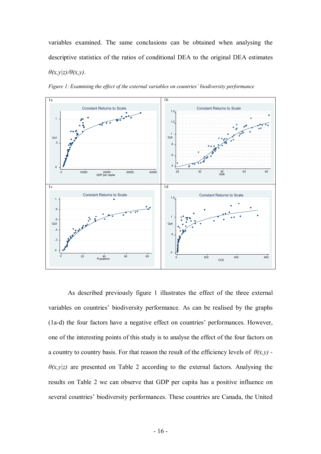variables examined. The same conclusions can be obtained when analysing the descriptive statistics of the ratios of conditional DEA to the original DEA estimates *θ(x,y|z)/θ(x,y)*.



*Figure 1: Examining the effect of the external variables on countries' biodiversity performance* 

As described previously figure 1 illustrates the effect of the three external variables on countries' biodiversity performance. As can be realised by the graphs (1a-d) the four factors have a negative effect on countries' performances. However, one of the interesting points of this study is to analyse the effect of the four factors on a country to country basis. For that reason the result of the efficiency levels of  $\theta(x,y)$  - $\theta(x,y|z)$  are presented on Table 2 according to the external factors. Analysing the results on Table 2 we can observe that GDP per capita has a positive influence on several countries' biodiversity performances. These countries are Canada, the United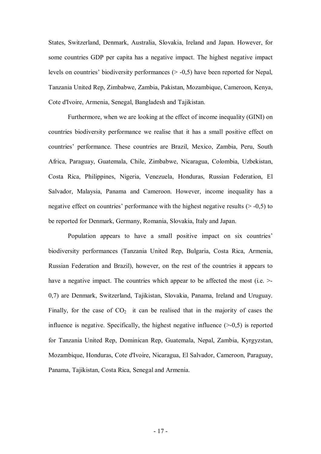States, Switzerland, Denmark, Australia, Slovakia, Ireland and Japan. However, for some countries GDP per capita has a negative impact. The highest negative impact levels on countries' biodiversity performances (> -0,5) have been reported for Nepal, Tanzania United Rep, Zimbabwe, Zambia, Pakistan, Mozambique, Cameroon, Kenya, Cote d'Ivoire, Armenia, Senegal, Bangladesh and Tajikistan.

Furthermore, when we are looking at the effect of income inequality (GINI) on countries biodiversity performance we realise that it has a small positive effect on countries' performance. These countries are Brazil, Mexico, Zambia, Peru, South Africa, Paraguay, Guatemala, Chile, Zimbabwe, Nicaragua, Colombia, Uzbekistan, Costa Rica, Philippines, Nigeria, Venezuela, Honduras, Russian Federation, El Salvador, Malaysia, Panama and Cameroon. However, income inequality has a negative effect on countries' performance with the highest negative results  $(> -0.5)$  to be reported for Denmark, Germany, Romania, Slovakia, Italy and Japan.

Population appears to have a small positive impact on six countries' biodiversity performances (Tanzania United Rep, Bulgaria, Costa Rica, Armenia, Russian Federation and Brazil), however, on the rest of the countries it appears to have a negative impact. The countries which appear to be affected the most (i.e.  $\ge$ 0,7) are Denmark, Switzerland, Tajikistan, Slovakia, Panama, Ireland and Uruguay. Finally, for the case of  $CO<sub>2</sub>$  it can be realised that in the majority of cases the influence is negative. Specifically, the highest negative influence  $(>=0,5)$  is reported for Tanzania United Rep, Dominican Rep, Guatemala, Nepal, Zambia, Kyrgyzstan, Mozambique, Honduras, Cote d'Ivoire, Nicaragua, El Salvador, Cameroon, Paraguay, Panama, Tajikistan, Costa Rica, Senegal and Armenia.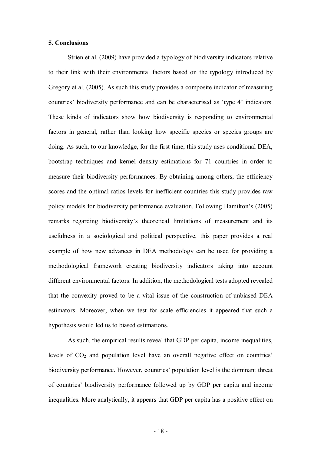## **5. Conclusions**

Strien et al. (2009) have provided a typology of biodiversity indicators relative to their link with their environmental factors based on the typology introduced by Gregory et al. (2005). As such this study provides a composite indicator of measuring countries' biodiversity performance and can be characterised as 'type 4' indicators. These kinds of indicators show how biodiversity is responding to environmental factors in general, rather than looking how specific species or species groups are doing. As such, to our knowledge, for the first time, this study uses conditional DEA, bootstrap techniques and kernel density estimations for 71 countries in order to measure their biodiversity performances. By obtaining among others, the efficiency scores and the optimal ratios levels for inefficient countries this study provides raw policy models for biodiversity performance evaluation. Following Hamilton's (2005) remarks regarding biodiversity's theoretical limitations of measurement and its usefulness in a sociological and political perspective, this paper provides a real example of how new advances in DEA methodology can be used for providing a methodological framework creating biodiversity indicators taking into account different environmental factors. In addition, the methodological tests adopted revealed that the convexity proved to be a vital issue of the construction of unbiased DEA estimators. Moreover, when we test for scale efficiencies it appeared that such a hypothesis would led us to biased estimations.

As such, the empirical results reveal that GDP per capita, income inequalities, levels of  $CO<sub>2</sub>$  and population level have an overall negative effect on countries' biodiversity performance. However, countries' population level is the dominant threat of countries' biodiversity performance followed up by GDP per capita and income inequalities. More analytically, it appears that GDP per capita has a positive effect on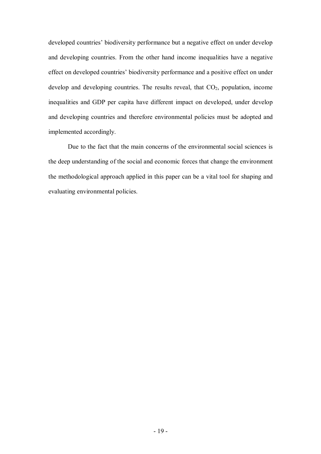developed countries' biodiversity performance but a negative effect on under develop and developing countries. From the other hand income inequalities have a negative effect on developed countries' biodiversity performance and a positive effect on under develop and developing countries. The results reveal, that  $CO<sub>2</sub>$ , population, income inequalities and GDP per capita have different impact on developed, under develop and developing countries and therefore environmental policies must be adopted and implemented accordingly.

Due to the fact that the main concerns of the environmental social sciences is the deep understanding of the social and economic forces that change the environment the methodological approach applied in this paper can be a vital tool for shaping and evaluating environmental policies.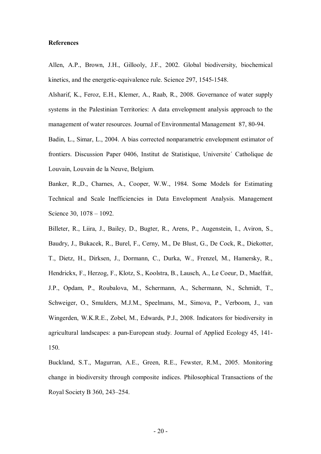## **References**

Allen, A.P., Brown, J.H., Gillooly, J.F., 2002. Global biodiversity, biochemical kinetics, and the energetic-equivalence rule. Science 297, 1545-1548.

Alsharif, K., Feroz, E.H., Klemer, A., Raab, R., 2008. Governance of water supply systems in the Palestinian Territories: A data envelopment analysis approach to the management of water resources. Journal of Environmental Management 87, 80-94.

Badin, L., Simar, L., 2004. A bias corrected nonparametric envelopment estimator of frontiers. Discussion Paper 0406, Institut de Statistique, Universite´ Catholique de Louvain, Louvain de la Neuve, Belgium.

Banker, R.,D., Charnes, A., Cooper, W.W., 1984. Some Models for Estimating Technical and Scale Inefficiencies in Data Envelopment Analysis. Management Science 30, 1078 – 1092.

Billeter, R., Liira, J., Bailey, D., Bugter, R., Arens, P., Augenstein, I., Aviron, S., Baudry, J., Bukacek, R., Burel, F., Cerny, M., De Blust, G., De Cock, R., Diekotter, T., Dietz, H., Dirksen, J., Dormann, C., Durka, W., Frenzel, M., Hamersky, R., Hendrickx, F., Herzog, F., Klotz, S., Koolstra, B., Lausch, A., Le Coeur, D., Maelfait, J.P., Opdam, P., Roubalova, M., Schermann, A., Schermann, N., Schmidt, T., Schweiger, O., Smulders, M.J.M., Speelmans, M., Simova, P., Verboom, J., van Wingerden, W.K.R.E., Zobel, M., Edwards, P.J., 2008. Indicators for biodiversity in agricultural landscapes: a pan-European study. Journal of Applied Ecology 45, 141- 150.

Buckland, S.T., Magurran, A.E., Green, R.E., Fewster, R.M., 2005. Monitoring change in biodiversity through composite indices. Philosophical Transactions of the Royal Society B 360, 243–254.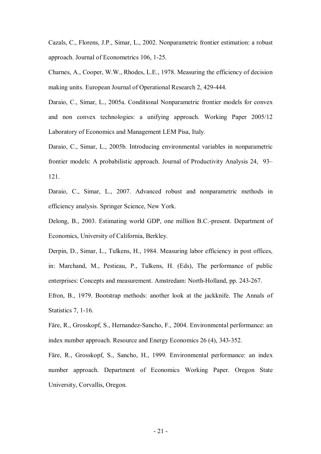Cazals, C., Florens, J.P., Simar, L., 2002. Nonparametric frontier estimation: a robust approach. Journal of Econometrics 106, 1-25.

Charnes, A., Cooper, W.W., Rhodes, L.E., 1978. Measuring the efficiency of decision making units. European Journal of Operational Research 2, 429-444.

Daraio, C., Simar, L., 2005a. Conditional Nonparametric frontier models for convex and non convex technologies: a unifying approach. Working Paper 2005/12 Laboratory of Economics and Management LEM Pisa, Italy.

Daraio, C., Simar, L., 2005b. Introducing environmental variables in nonparametric frontier models: A probabilistic approach. Journal of Productivity Analysis 24, 93– 121.

Daraio, C., Simar, L., 2007. Advanced robust and nonparametric methods in efficiency analysis. Springer Science, New York.

Delong, B., 2003. Estimating world GDP, one million B.C.-present. Department of Economics, University of California, Berkley.

Derpin, D., Simar, L., Tulkens, H., 1984. Measuring labor efficiency in post offices, in: Marchand, M., Pestieau, P., Tulkens, H. (Eds), The performance of public enterprises: Concepts and measurement. Amstredam: North-Holland, pp. 243-267.

Efron, B., 1979. Bootstrap methods: another look at the jackknife. The Annals of Statistics 7, 1-16.

Färe, R., Grosskopf, S., Hernandez-Sancho, F., 2004. Environmental performance: an index number approach. Resource and Energy Economics 26 (4), 343-352.

Färe, R., Grosskopf, S., Sancho, H., 1999. Environmental performance: an index number approach. Department of Economics Working Paper. Oregon State University, Corvallis, Oregon.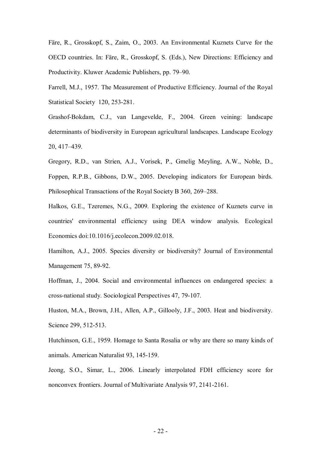Färe, R., Grosskopf, S., Zaim, O., 2003. An Environmental Kuznets Curve for the OECD countries. In: Färe, R., Grosskopf, S. (Eds.), New Directions: Efficiency and Productivity. Kluwer Academic Publishers, pp. 79–90.

Farrell, M.J., 1957. The Measurement of Productive Efficiency. Journal of the Royal Statistical Society 120, 253-281.

Grashof-Bokdam, C.J., van Langevelde, F., 2004. Green veining: landscape determinants of biodiversity in European agricultural landscapes. Landscape Ecology 20, 417–439.

Gregory, R.D., van Strien, A.J., Vorisek, P., Gmelig Meyling, A.W., Noble, D., Foppen, R.P.B., Gibbons, D.W., 2005. Developing indicators for European birds. Philosophical Transactions of the Royal Society B 360, 269–288.

Halkos, G.E., Tzeremes, N.G., 2009. Exploring the existence of Kuznets curve in countries' environmental efficiency using DEA window analysis. Ecological Economics doi:10.1016/j.ecolecon.2009.02.018.

Hamilton, A.J., 2005. Species diversity or biodiversity? Journal of Environmental Management 75, 89-92.

Hoffman, J., 2004. Social and environmental influences on endangered species: a cross-national study. Sociological Perspectives 47, 79-107.

Huston, M.A., Brown, J.H., Allen, A.P., Gillooly, J.F., 2003. Heat and biodiversity. Science 299, 512-513.

Hutchinson, G.E., 1959. Homage to Santa Rosalia or why are there so many kinds of animals. American Naturalist 93, 145-159.

Jeong, S.O., Simar, L., 2006. Linearly interpolated FDH efficiency score for nonconvex frontiers. Journal of Multivariate Analysis 97, 2141-2161.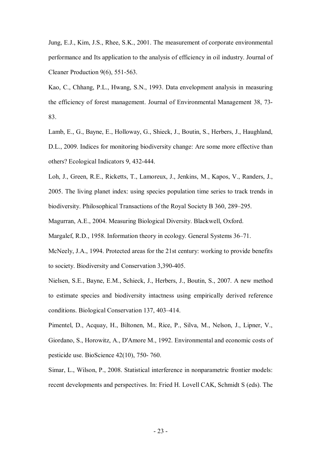Jung, E.J., Kim, J.S., Rhee, S.K., 2001. The measurement of corporate environmental performance and Its application to the analysis of efficiency in oil industry. Journal of Cleaner Production 9(6), 551-563.

Kao, C., Chhang, P.L., Hwang, S.N., 1993. Data envelopment analysis in measuring the efficiency of forest management. Journal of Environmental Management 38, 73- 83.

Lamb, E., G., Bayne, E., Holloway, G., Shieck, J., Boutin, S., Herbers, J., Haughland, D.L., 2009. Indices for monitoring biodiversity change: Are some more effective than others? Ecological Indicators 9, 432-444.

Loh, J., Green, R.E., Ricketts, T., Lamoreux, J., Jenkins, M., Kapos, V., Randers, J., 2005. The living planet index: using species population time series to track trends in biodiversity. Philosophical Transactions of the Royal Society B 360, 289–295.

Magurran, A.E., 2004. Measuring Biological Diversity. Blackwell, Oxford.

Margalef, R.D., 1958. Information theory in ecology. General Systems 36–71.

McNeely, J.A., 1994. Protected areas for the 21st century: working to provide benefits to society. Biodiversity and Conservation 3,390-405.

Nielsen, S.E., Bayne, E.M., Schieck, J., Herbers, J., Boutin, S., 2007. A new method to estimate species and biodiversity intactness using empirically derived reference conditions. Biological Conservation 137, 403–414.

Pimentel, D., Acquay, H., Biltonen, M., Rice, P., Silva, M., Nelson, J., Lipner, V., Giordano, S., Horowitz, A., D'Amore M., 1992. Environmental and economic costs of pesticide use. BioScience 42(10), 750- 760.

Simar, L., Wilson, P., 2008. Statistical interference in nonparametric frontier models: recent developments and perspectives. In: Fried H. Lovell CAK, Schmidt S (eds). The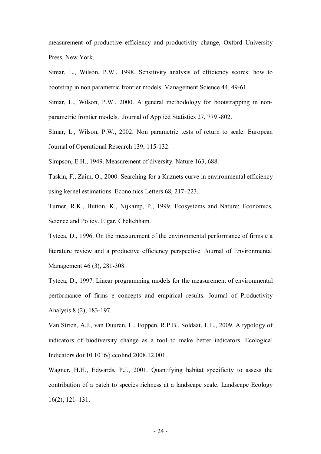measurement of productive efficiency and productivity change, Oxford University Press, New York.

Simar, L., Wilson, P.W., 1998. Sensitivity analysis of efficiency scores: how to bootstrap in non parametric frontier models. Management Science 44, 49-61.

Simar, L., Wilson, P.W., 2000. A general methodology for bootstrapping in nonparametric frontier models. Journal of Applied Statistics 27, 779 -802.

Simar, L., Wilson, P.W., 2002. Non parametric tests of return to scale. European Journal of Operational Research 139, 115-132.

Simpson, E.H., 1949. Measurement of diversity. Nature 163, 688.

Taskin, F., Zaim, O., 2000. Searching for a Kuznets curve in environmental efficiency using kernel estimations. Economics Letters 68, 217–223.

Turner, R.K., Button, K., Nijkamp, P., 1999. Ecosystems and Nature: Economics, Science and Policy. Elgar, Cheltehham.

Tyteca, D., 1996. On the measurement of the environmental performance of firms e a literature review and a productive efficiency perspective. Journal of Environmental Management 46 (3), 281-308.

Tyteca, D., 1997. Linear programming models for the measurement of environmental performance of firms e concepts and empirical results. Journal of Productivity Analysis 8 (2), 183-197.

Van Strien, A.J., van Duuren, L., Foppen, R.P.B., Soldaat, L.L., 2009. A typology of indicators of biodiversity change as a tool to make better indicators. Ecological Indicators doi:10.1016/j.ecolind.2008.12.001.

Wagner, H.H., Edwards, P.J., 2001. Quantifying habitat specificity to assess the contribution of a patch to species richness at a landscape scale. Landscape Ecology 16(2), 121–131.